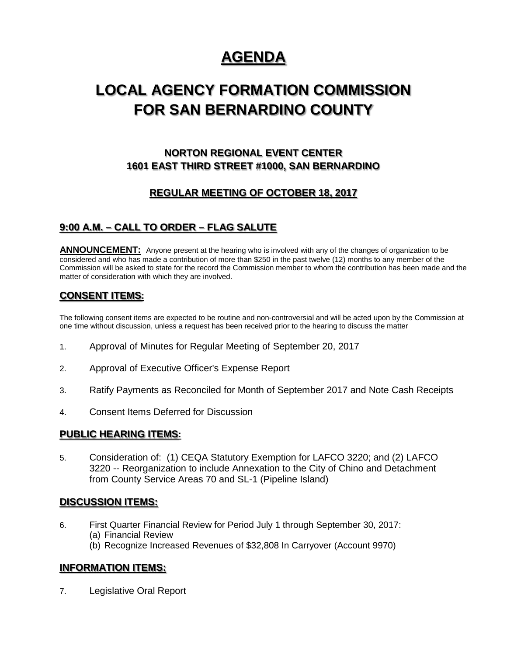# **AGENDA**

# **LOCAL AGENCY FORMATION COMMISSION FOR SAN BERNARDINO COUNTY**

## **NORTON REGIONAL EVENT CENTER 1601 EAST THIRD STREET #1000, SAN BERNARDINO**

## **REGULAR MEETING OF OCTOBER 18, 2017**

## **9:00 A.M. – CALL TO ORDER – FLAG SALUTE**

ANNOUNCEMENT: Anyone present at the hearing who is involved with any of the changes of organization to be considered and who has made a contribution of more than \$250 in the past twelve (12) months to any member of the Commission will be asked to state for the record the Commission member to whom the contribution has been made and the matter of consideration with which they are involved.

## **CONSENT ITEMS:**

The following consent items are expected to be routine and non-controversial and will be acted upon by the Commission at one time without discussion, unless a request has been received prior to the hearing to discuss the matter

- 1. Approval of Minutes for Regular Meeting of September 20, 2017
- 2. Approval of Executive Officer's Expense Report
- 3. Ratify Payments as Reconciled for Month of September 2017 and Note Cash Receipts
- 4. Consent Items Deferred for Discussion

#### **PUBLIC HEARING ITEMS:**

5. Consideration of: (1) CEQA Statutory Exemption for LAFCO 3220; and (2) LAFCO 3220 -- Reorganization to include Annexation to the City of Chino and Detachment from County Service Areas 70 and SL-1 (Pipeline Island)

#### **DISCUSSION ITEMS:**

- 6. First Quarter Financial Review for Period July 1 through September 30, 2017:
	- (a) Financial Review
	- (b) Recognize Increased Revenues of \$32,808 In Carryover (Account 9970)

#### **INFORMATION ITEMS:**

7. Legislative Oral Report